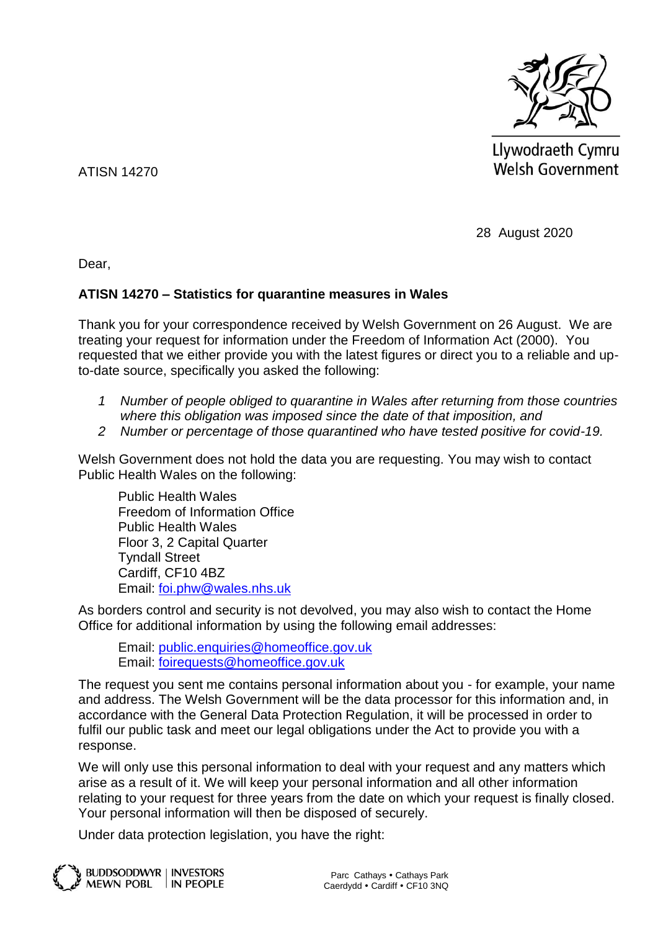

Llywodraeth Cymru **Welsh Government** 

ATISN 14270

28 August 2020

Dear,

## **ATISN 14270 – Statistics for quarantine measures in Wales**

Thank you for your correspondence received by Welsh Government on 26 August. We are treating your request for information under the Freedom of Information Act (2000). You requested that we either provide you with the latest figures or direct you to a reliable and upto-date source, specifically you asked the following:

- *1 Number of people obliged to quarantine in Wales after returning from those countries where this obligation was imposed since the date of that imposition, and*
- *2 Number or percentage of those quarantined who have tested positive for covid-19.*

Welsh Government does not hold the data you are requesting. You may wish to contact Public Health Wales on the following:

Public Health Wales Freedom of Information Office Public Health Wales Floor 3, 2 Capital Quarter Tyndall Street Cardiff, CF10 4BZ Email: [foi.phw@wales.nhs.uk](mailto:foi.phw@wales.nhs.uk)

As borders control and security is not devolved, you may also wish to contact the Home Office for additional information by using the following email addresses:

Email: [public.enquiries@homeoffice.gov.uk](mailto:public.enquiries@homeoffice.gov.uk) Email: [foirequests@homeoffice.gov.uk](mailto:foirequests@homeoffice.gov.uk)

The request you sent me contains personal information about you - for example, your name and address. The Welsh Government will be the data processor for this information and, in accordance with the General Data Protection Regulation, it will be processed in order to fulfil our public task and meet our legal obligations under the Act to provide you with a response.

We will only use this personal information to deal with your request and any matters which arise as a result of it. We will keep your personal information and all other information relating to your request for three years from the date on which your request is finally closed. Your personal information will then be disposed of securely.

Under data protection legislation, you have the right: